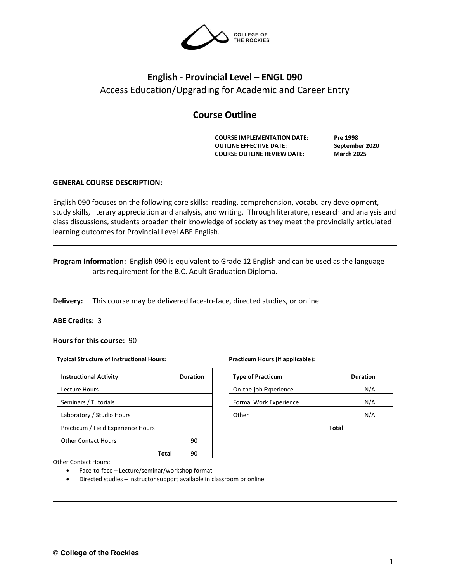

# **English - Provincial Level – ENGL 090** Access Education/Upgrading for Academic and Career Entry

# **Course Outline**

**COURSE IMPLEMENTATION DATE: Pre 1998 OUTLINE EFFECTIVE DATE: September 2020 COURSE OUTLINE REVIEW DATE: March 2025**

# **GENERAL COURSE DESCRIPTION:**

English 090 focuses on the following core skills: reading, comprehension, vocabulary development, study skills, literary appreciation and analysis, and writing. Through literature, research and analysis and class discussions, students broaden their knowledge of society as they meet the provincially articulated learning outcomes for Provincial Level ABE English.

**Program Information:** English 090 is equivalent to Grade 12 English and can be used as the language arts requirement for the B.C. Adult Graduation Diploma.

**Delivery:** This course may be delivered face-to-face, directed studies, or online.

## **ABE Credits:** 3

**Hours for this course:** 90

#### **Typical Structure of Instructional Hours:**

| <b>Instructional Activity</b>      | <b>Duration</b> |  |  |
|------------------------------------|-----------------|--|--|
| Lecture Hours                      |                 |  |  |
| Seminars / Tutorials               |                 |  |  |
| Laboratory / Studio Hours          |                 |  |  |
| Practicum / Field Experience Hours |                 |  |  |
| <b>Other Contact Hours</b>         | 90              |  |  |
|                                    |                 |  |  |

| <b>Type of Practicum</b> | <b>Duration</b> |
|--------------------------|-----------------|
| On-the-job Experience    | N/A             |
| Formal Work Experience   | N/A             |
| Other                    | N/A             |
| Total                    |                 |

Other Contact Hours:

- Face-to-face Lecture/seminar/workshop format
- Directed studies Instructor support available in classroom or online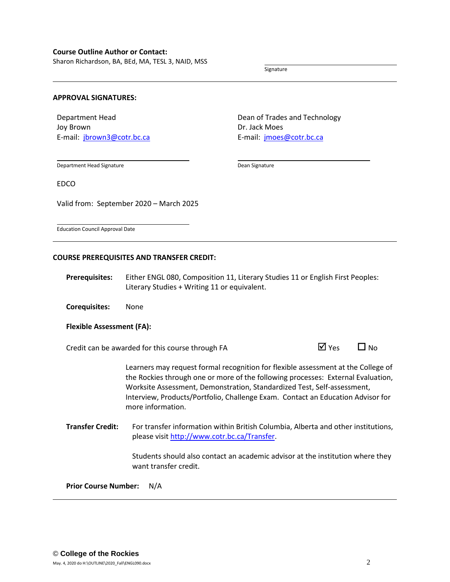Sharon Richardson, BA, BEd, MA, TESL 3, NAID, MSS

Signature

#### **APPROVAL SIGNATURES:**

Department Head Joy Brown E-mail: [jbrown3@cotr.bc.ca](mailto:jbrown3@cotr.bc.ca) Dean of Trades and Technology Dr. Jack Moes E-mail: *[jmoes@cotr.bc.ca](mailto:jmoes@cotr.bc.ca)* 

Department Head Signature

Dean Signature

EDCO

Valid from: September 2020 – March 2025

Education Council Approval Date

#### **COURSE PREREQUISITES AND TRANSFER CREDIT:**

**Prerequisites:** Either ENGL 080, Composition 11, Literary Studies 11 or English First Peoples: Literary Studies + Writing 11 or equivalent.

**Corequisites:** None

#### **Flexible Assessment (FA):**

Credit can be awarded for this course through FA  $\Box$  Yes  $\Box$  No

Learners may request formal recognition for flexible assessment at the College of the Rockies through one or more of the following processes: External Evaluation, Worksite Assessment, Demonstration, Standardized Test, Self-assessment, Interview, Products/Portfolio, Challenge Exam. Contact an Education Advisor for more information.

**Transfer Credit:** For transfer information within British Columbia, Alberta and other institutions, please visit [http://www.cotr.bc.ca/Transfer.](http://www.cotr.bc.ca/Transfer)

> Students should also contact an academic advisor at the institution where they want transfer credit.

**Prior Course Number:** N/A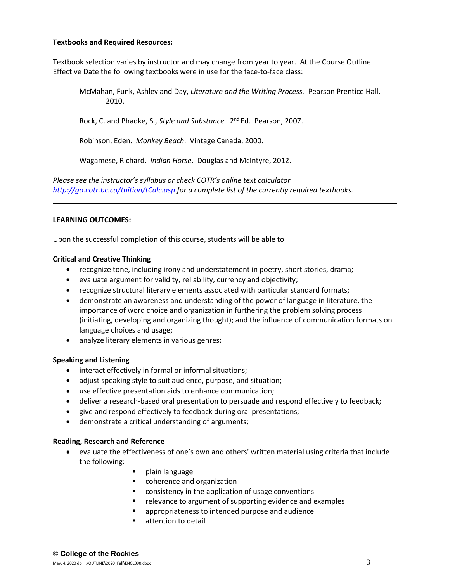## **Textbooks and Required Resources:**

Textbook selection varies by instructor and may change from year to year. At the Course Outline Effective Date the following textbooks were in use for the face-to-face class:

McMahan, Funk, Ashley and Day, *Literature and the Writing Process.* Pearson Prentice Hall, 2010.

Rock, C. and Phadke, S., Style and Substance. 2<sup>nd</sup> Ed. Pearson, 2007.

Robinson, Eden. *Monkey Beach*. Vintage Canada, 2000.

Wagamese, Richard. *Indian Horse*. Douglas and McIntyre, 2012.

*Please see the instructor's syllabus or check COTR's online text calculator <http://go.cotr.bc.ca/tuition/tCalc.asp> for a complete list of the currently required textbooks.*

## **LEARNING OUTCOMES:**

Upon the successful completion of this course, students will be able to

## **Critical and Creative Thinking**

- recognize tone, including irony and understatement in poetry, short stories, drama;
- evaluate argument for validity, reliability, currency and objectivity;
- recognize structural literary elements associated with particular standard formats;
- demonstrate an awareness and understanding of the power of language in literature, the importance of word choice and organization in furthering the problem solving process (initiating, developing and organizing thought); and the influence of communication formats on language choices and usage;
- analyze literary elements in various genres;

## **Speaking and Listening**

- interact effectively in formal or informal situations;
- adjust speaking style to suit audience, purpose, and situation;
- use effective presentation aids to enhance communication;
- deliver a research-based oral presentation to persuade and respond effectively to feedback;
- give and respond effectively to feedback during oral presentations;
- demonstrate a critical understanding of arguments;

## **Reading, Research and Reference**

- evaluate the effectiveness of one's own and others' written material using criteria that include the following:
	- plain language
	- coherence and organization
	- consistency in the application of usage conventions
	- relevance to argument of supporting evidence and examples
	- appropriateness to intended purpose and audience
	- attention to detail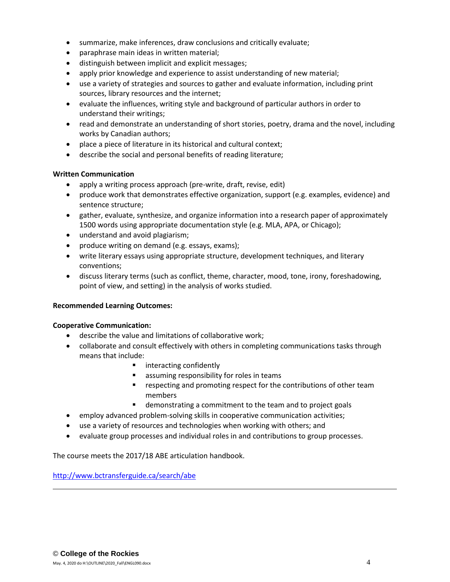- summarize, make inferences, draw conclusions and critically evaluate;
- paraphrase main ideas in written material;
- distinguish between implicit and explicit messages;
- apply prior knowledge and experience to assist understanding of new material;
- use a variety of strategies and sources to gather and evaluate information, including print sources, library resources and the internet;
- evaluate the influences, writing style and background of particular authors in order to understand their writings;
- read and demonstrate an understanding of short stories, poetry, drama and the novel, including works by Canadian authors;
- place a piece of literature in its historical and cultural context;
- describe the social and personal benefits of reading literature;

# **Written Communication**

- apply a writing process approach (pre-write, draft, revise, edit)
- produce work that demonstrates effective organization, support (e.g. examples, evidence) and sentence structure;
- gather, evaluate, synthesize, and organize information into a research paper of approximately 1500 words using appropriate documentation style (e.g. MLA, APA, or Chicago);
- understand and avoid plagiarism;
- produce writing on demand (e.g. essays, exams);
- write literary essays using appropriate structure, development techniques, and literary conventions;
- discuss literary terms (such as conflict, theme, character, mood, tone, irony, foreshadowing, point of view, and setting) in the analysis of works studied.

# **Recommended Learning Outcomes:**

# **Cooperative Communication:**

- describe the value and limitations of collaborative work;
- collaborate and consult effectively with others in completing communications tasks through means that include:
	- interacting confidently
	- assuming responsibility for roles in teams
	- respecting and promoting respect for the contributions of other team members
	- demonstrating a commitment to the team and to project goals
- employ advanced problem-solving skills in cooperative communication activities;
- use a variety of resources and technologies when working with others; and
- evaluate group processes and individual roles in and contributions to group processes.

The course meets the 2017/18 ABE articulation handbook.

<http://www.bctransferguide.ca/search/abe>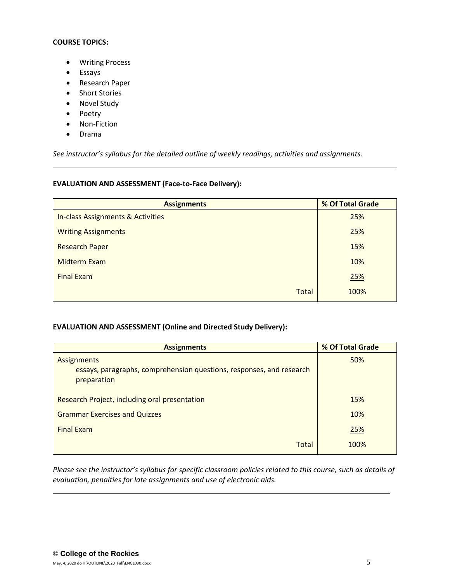## **COURSE TOPICS:**

- Writing Process
- Essays
- Research Paper
- Short Stories
- Novel Study
- Poetry
- Non-Fiction
- Drama

*See instructor's syllabus for the detailed outline of weekly readings, activities and assignments.* 

## **EVALUATION AND ASSESSMENT (Face-to-Face Delivery):**

| <b>Assignments</b>                | % Of Total Grade |
|-----------------------------------|------------------|
| In-class Assignments & Activities | 25%              |
| <b>Writing Assignments</b>        | 25%              |
| <b>Research Paper</b>             | 15%              |
| <b>Midterm Exam</b>               | 10%              |
| <b>Final Exam</b>                 | 25%              |
| Total                             | 100%             |

# **EVALUATION AND ASSESSMENT (Online and Directed Study Delivery):**

| <b>Assignments</b>                                                   | % Of Total Grade |
|----------------------------------------------------------------------|------------------|
| Assignments                                                          | 50%              |
| essays, paragraphs, comprehension questions, responses, and research |                  |
| preparation                                                          |                  |
|                                                                      |                  |
| Research Project, including oral presentation                        | 15%              |
| <b>Grammar Exercises and Quizzes</b>                                 | 10%              |
| <b>Final Exam</b>                                                    | 25%              |
| Total                                                                | 100%             |

*Please see the instructor's syllabus for specific classroom policies related to this course, such as details of evaluation, penalties for late assignments and use of electronic aids.*